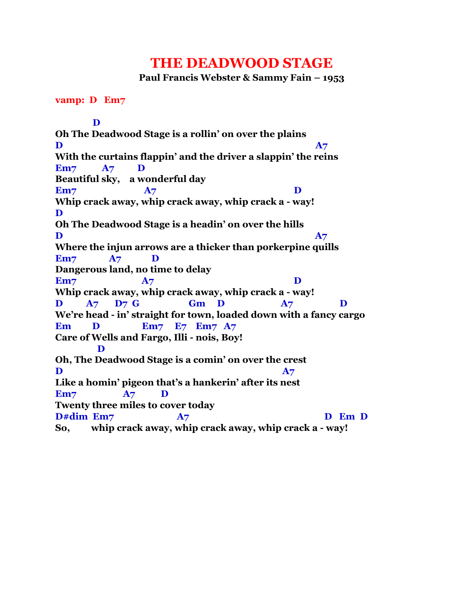## **THE DEADWOOD STAGE**

**Paul Francis Webster & Sammy Fain – 1953**

## **vamp: D Em7**

 **D Oh The Deadwood Stage is a rollin' on over the plains**  $\mathbf{D}$  and  $\mathbf{A}$ <sup>7</sup> **With the curtains flappin' and the driver a slappin' the reins Em7 A7 D Beautiful sky, a wonderful day Em7 A7 D Whip crack away, whip crack away, whip crack a - way! D Oh The Deadwood Stage is a headin' on over the hills**  $\mathbf{D}$  and  $\mathbf{A}$ <sup>7</sup> **Where the injun arrows are a thicker than porkerpine quills Em7 A7 D Dangerous land, no time to delay Em7 A7 D Whip crack away, whip crack away, whip crack a - way! D A7 D7 G Gm D A7 D We're head - in' straight for town, loaded down with a fancy cargo Em D Em7 E7 Em7 A7 Care of Wells and Fargo, Illi - nois, Boy! D Oh, The Deadwood Stage is a comin' on over the crest**  $\mathbf{D}$  and  $\mathbf{A}7$ **Like a homin' pigeon that's a hankerin' after its nest Em7 A7 D Twenty three miles to cover today D#dim Em7 A7 D Em D So, whip crack away, whip crack away, whip crack a - way!**